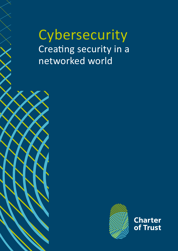**Cybersecurity** Creating security in a networked world





**Charter** of Trust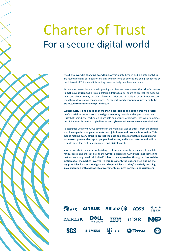## Charter of Trust For a secure digital world

**The digital world is changing everything.** Artificial intelligence and big data analytics are revolutionizing our decision-making while billions of devices are being connected by the Internet of Things and interacting on an entirely new level and scale.

As much as these advances are improving our lives and economies, **the risk of exposure to malicious cyberattacks is also growing dramatically.** Failure to protect the systems that control our homes, hospitals, factories, grids and virtually all of our infrastructure could have devastating consequences. **Democratic and economic values need to be protected from cyber and hybrid threats.**

**Cybersecurity is and has to be more than a seatbelt or an airbag here; it's a factor that's crucial to the success of the digital economy.** People and organizations need to trust that their digital technologies are safe and secure; otherwise, they won't embrace the digital transformation. **Digitalization and cybersecurity must evolve hand-in-hand.**

To keep pace with continuous advances in the market as well as threats from the criminal world, **companies and governments must join forces and take decisive action. This means making every effort to protect the data and assets of both individuals and businesses, prevent damage to people, businesses, and infrastructures and build a reliable basis for trust in a connected and digital world.**

In other words, it's a matter of building trust in cybersecurity, advancing it on all its various levels and thereby paving the way for digitalization. And that's not something that any company can do all by itself. **It has to be approached through a close collaboration of all the parties involved. In this document, the undersigned outline the key principles for a secure digital world – principles that they're actively pursuing in collaboration with civil society, government, business partners and customers.**

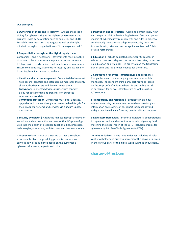### **Our principles**

**1 Ownership of cyber and IT security |** Anchor the responsibility for cybersecurity at the highest governmental and business levels by designating specific ministries and CISOs. Establish clear measures and targets as well as the right mindset throughout organizations – "It is everyone's task."

**2 Responsibility throughout the digital supply chain |** Companies – and if necessary – governments must establish risk-based rules that ensure adequate protection across all IoT layers with clearly defined and mandatory requirements. Ensure confidentiality, authenticity, integrity and availability by setting baseline standards, such as:

- **· Identity and access management:** Connected devices must have secure identities and safeguarding measures that only allow authorized users and devices to use them.
- **· Encryption:** Connected devices must ensure confidentiality for data storage and transmission purposes wherever appropriate.
- **· Continuous protection:** Companies must offer updates, upgrades and patches throughout a reasonable lifecycle for their products, systems and services via a secure update mechanism.

**3 Security by default |** Adopt the highest appropriate level of security and data protection and ensure that it's preconfigured into the design of products, functionalities, processes, technologies, operations, architectures and business models.

**4 User-centricity |** Serve as a trusted partner throughout a reasonable lifecycle, providing products, systems and services as well as guidance based on the customer's cybersecurity needs, impacts and risks.

**5 Innovation and co-creation |** Combine domain know-how and deepen a joint understanding between firms and policymakers of cybersecurity requirements and rules in order to continuously innovate and adapt cybersecurity measures to new threats; drive and encourage i.a. contractual Public Private Partnerships.

**6 Education |** Include dedicated cybersecurity courses in school curricula – as degree courses in universities, professional education and trainings – in order to lead the transformation of skills and job profiles needed for the future.

**7 Certification for critical infrastructure and solutions |**  Companies – and if necessary – governments establish mandatory independent third-party certifications (based on future-proof definitions, where life and limb is at risk in particular) for critical infrastructure as well as critical IoT solutions.

**8 Transparency and response | Participate in an indus**trial cybersecurity network in order to share new insights, information on incidents et al.; report incidents beyond today's practice which is focusing on critical infrastructure.

**9 Regulatory framework |** Promote multilateral collaborations in regulation and standardization to set a level playing field matching the global reach of the WTO; inclusion of rules for cybersecurity into Free Trade Agreements (FTAs).

10 Joint initiatives | Drive joint initiatives including all relevant stakeholders, in order to implement the above principles in the various parts of the digital world without undue delay.

## **charter-of-trust.com**